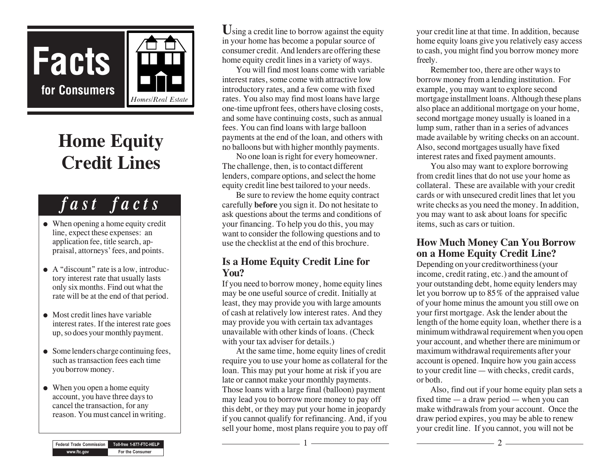

# **Home Equity Credit Lines**

## *f a s t f a c t s*

- When opening a home equity credit line, expect these expenses: an application fee, title search, appraisal, attorneys' fees, and points.
- $\bullet$  A "discount" rate is a low, introductory interest rate that usually lasts only six months. Find out what the rate will be at the end of that period.
- Most credit lines have variable interest rates. If the interest rate goes up, so does your monthly payment.
- Some lenders charge continuing fees, such as transaction fees each time you borrow money.
- $\bullet$  When you open a home equity account, you have three days to cancel the transaction, for any reason. You must cancel in writing.

| <b>Federal Trade Commission</b> | Toll-free 1-877-FTC-HELP |
|---------------------------------|--------------------------|
| www.ftc.gov                     | For the Consumer         |

Using a credit line to borrow against the equity in your home has become a popular source of consumer credit. And lenders are offering these home equity credit lines in a variety of ways.

You will find most loans come with variable interest rates, some come with attractive low introductory rates, and a few come with fixed rates. You also may find most loans have large one-time upfront fees, others have closing costs, and some have continuing costs, such as annual fees. You can find loans with large balloon payments at the end of the loan, and others with no balloons but with higher monthly payments.

No one loan is right for every homeowner. The challenge, then, is to contact different lenders, compare options, and select the home equity credit line best tailored to your needs.

Be sure to review the home equity contract carefully **before** you sign it. Do not hesitate to ask questions about the terms and conditions of your financing. To help you do this, you may want to consider the following questions and to use the checklist at the end of this brochure.

#### **Is a Home Equity Credit Line for You?**

If you need to borrow money, home equity lines may be one useful source of credit. Initially at least, they may provide you with large amounts of cash at relatively low interest rates. And they may provide you with certain tax advantages unavailable with other kinds of loans. (Check with your tax adviser for details.)

At the same time, home equity lines of credit require you to use your home as collateral for the loan. This may put your home at risk if you are late or cannot make your monthly payments. Those loans with a large final (balloon) payment may lead you to borrow more money to pay off this debt, or they may put your home in jeopardy if you cannot qualify for refinancing. And, if you sell your home, most plans require you to pay off

your credit line at that time. In addition, because home equity loans give you relatively easy access to cash, you might find you borrow money more freely.

Remember too, there are other ways to borrow money from a lending institution. For example, you may want to explore second mortgage installment loans. Although these plans also place an additional mortgage on your home, second mortgage money usually is loaned in a lump sum, rather than in a series of advances made available by writing checks on an account. Also, second mortgages usually have fixed interest rates and fixed payment amounts.

You also may want to explore borrowing from credit lines that do not use your home as collateral. These are available with your credit cards or with unsecured credit lines that let you write checks as you need the money. In addition, you may want to ask about loans for specific items, such as cars or tuition.

#### **How Much Money Can You Borrow on a Home Equity Credit Line?**

Depending on your creditworthiness (your income, credit rating, etc.) and the amount of your outstanding debt, home equity lenders may let you borrow up to 85% of the appraised value of your home minus the amount you still owe on your first mortgage. Ask the lender about the length of the home equity loan, whether there is a minimum withdrawal requirement when you open your account, and whether there are minimum or maximum withdrawal requirements after your account is opened. Inquire how you gain access to your credit line  $-$  with checks, credit cards, or both.

Also, find out if your home equity plan sets a fixed time  $-$  a draw period  $-$  when you can make withdrawals from your account. Once the draw period expires, you may be able to renew your credit line. If you cannot, you will not be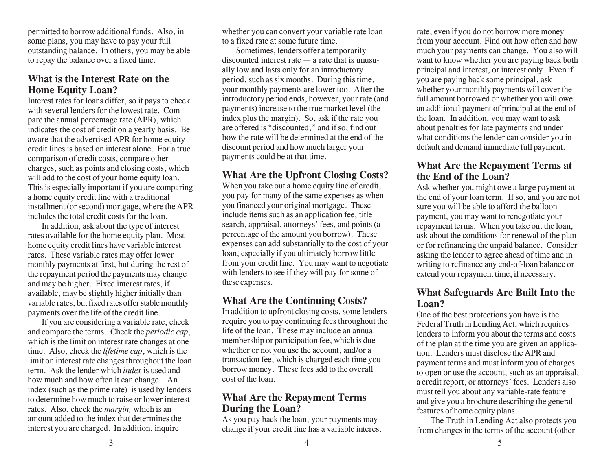permitted to borrow additional funds. Also, in some plans, you may have to pay your full outstanding balance. In others, you may be able to repay the balance over a fixed time.

#### **What is the Interest Rate on the Home Equity Loan?**

Interest rates for loans differ, so it pays to check with several lenders for the lowest rate. Compare the annual percentage rate (APR), which indicates the cost of credit on a yearly basis. Be aware that the advertised APR for home equity credit lines is based on interest alone. For a true comparison of credit costs, compare other charges, such as points and closing costs, which will add to the cost of your home equity loan. This is especially important if you are comparing a home equity credit line with a traditional installment (or second) mortgage, where the APR includes the total credit costs for the loan.

In addition, ask about the type of interest rates available for the home equity plan. Most home equity credit lines have variable interest rates. These variable rates may offer lower monthly payments at first, but during the rest of the repayment period the payments may change and may be higher. Fixed interest rates, if available, may be slightly higher initially than variable rates, but fixed rates offer stable monthly payments over the life of the credit line.

If you are considering a variable rate, check and compare the terms. Check the *periodic cap*, which is the limit on interest rate changes at one time. Also, check the *lifetime cap*, which is the limit on interest rate changes throughout the loan term. Ask the lender which *index* is used and how much and how often it can change. An index (such as the prime rate) is used by lenders to determine how much to raise or lower interest rates. Also, check the *margin,* which is an amount added to the index that determines the interest you are charged. In addition, inquire

whether you can convert your variable rate loan to a fixed rate at some future time.

Sometimes, lenders offer a temporarily discounted interest rate  $-$  a rate that is unusually low and lasts only for an introductory period, such as six months. During this time, your monthly payments are lower too. After the introductory period ends, however, your rate (and payments) increase to the true market level (the index plus the margin). So, ask if the rate you are offered is "discounted," and if so, find out how the rate will be determined at the end of the discount period and how much larger your payments could be at that time.

#### **What Are the Upfront Closing Costs?**

When you take out a home equity line of credit, you pay for many of the same expenses as when you financed your original mortgage. These include items such as an application fee, title search, appraisal, attorneys' fees, and points (a percentage of the amount you borrow). These expenses can add substantially to the cost of your loan, especially if you ultimately borrow little from your credit line. You may want to negotiate with lenders to see if they will pay for some of these expenses.

#### **What Are the Continuing Costs?**

In addition to upfront closing costs, some lenders require you to pay continuing fees throughout the life of the loan. These may include an annual membership or participation fee, which is due whether or not you use the account, and/or a transaction fee, which is charged each time you borrow money. These fees add to the overall cost of the loan.

#### **What Are the Repayment Terms During the Loan?**

As you pay back the loan, your payments may change if your credit line has a variable interest rate, even if you do not borrow more money from your account. Find out how often and how much your payments can change. You also will want to know whether you are paying back both principal and interest, or interest only. Even if you are paying back some principal, ask whether your monthly payments will cover the full amount borrowed or whether you will owe an additional payment of principal at the end of the loan. In addition, you may want to ask about penalties for late payments and under what conditions the lender can consider you in default and demand immediate full payment.

#### **What Are the Repayment Terms at the End of the Loan?**

Ask whether you might owe a large payment at the end of your loan term. If so, and you are not sure you will be able to afford the balloon payment, you may want to renegotiate your repayment terms. When you take out the loan, ask about the conditions for renewal of the plan or for refinancing the unpaid balance. Consider asking the lender to agree ahead of time and in writing to refinance any end-of-loan balance or extend your repayment time, if necessary.

#### **What Safeguards Are Built Into the Loan?**

One of the best protections you have is the Federal Truth in Lending Act, which requires lenders to inform you about the terms and costs of the plan at the time you are given an application. Lenders must disclose the APR and payment terms and must inform you of charges to open or use the account, such as an appraisal, a credit report, or attorneys' fees. Lenders also must tell you about any variable-rate feature and give you a brochure describing the general features of home equity plans.

The Truth in Lending Act also protects you from changes in the terms of the account (other